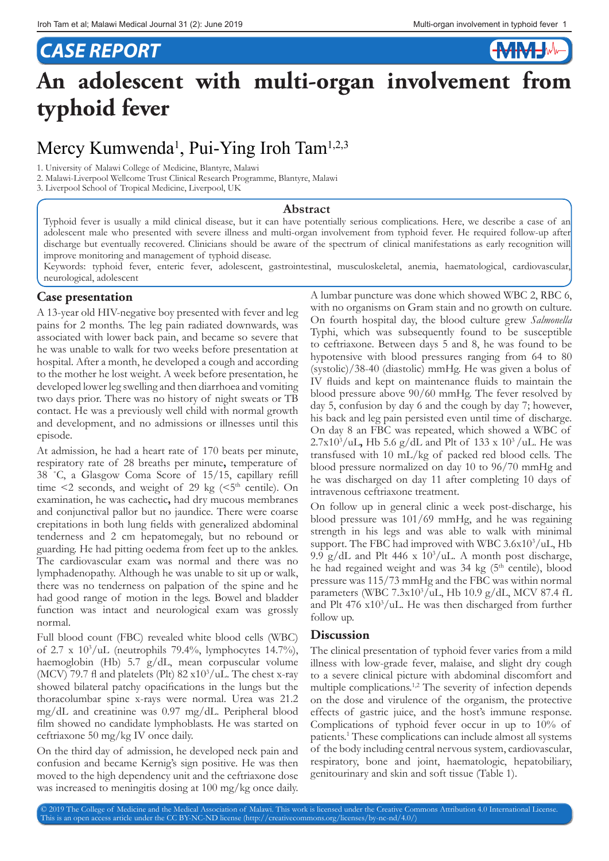**HMHMH** 

## *CASE REPORT*

# **An adolescent with multi-organ involvement from typhoid fever**

### Mercy Kumwenda<sup>1</sup>, Pui-Ying Iroh Tam<sup>1,2,3</sup>

1. University of Malawi College of Medicine, Blantyre, Malawi

2. Malawi-Liverpool Wellcome Trust Clinical Research Programme, Blantyre, Malawi

3. Liverpool School of Tropical Medicine, Liverpool, UK

#### **Abstract**

Typhoid fever is usually a mild clinical disease, but it can have potentially serious complications. Here, we describe a case of an adolescent male who presented with severe illness and multi-organ involvement from typhoid fever. He required follow-up after discharge but eventually recovered. Clinicians should be aware of the spectrum of clinical manifestations as early recognition will improve monitoring and management of typhoid disease.

Keywords: typhoid fever, enteric fever, adolescent, gastrointestinal, musculoskeletal, anemia, haematological, cardiovascular, neurological, adolescent

#### **Case presentation**

A 13-year old HIV-negative boy presented with fever and leg pains for 2 months. The leg pain radiated downwards, was associated with lower back pain, and became so severe that he was unable to walk for two weeks before presentation at hospital. After a month, he developed a cough and according to the mother he lost weight. A week before presentation, he developed lower leg swelling and then diarrhoea and vomiting two days prior. There was no history of night sweats or TB contact. He was a previously well child with normal growth and development, and no admissions or illnesses until this episode.

At admission, he had a heart rate of 170 beats per minute, respiratory rate of 28 breaths per minute**,** temperature of 38 ˚C, a Glasgow Coma Score of 15/15, capillary refill time  $\leq$  2 seconds, and weight of 29 kg ( $\leq$ 5<sup>th</sup> centile). On examination, he was cachectic**,** had dry mucous membranes and conjunctival pallor but no jaundice. There were coarse crepitations in both lung fields with generalized abdominal tenderness and 2 cm hepatomegaly, but no rebound or guarding. He had pitting oedema from feet up to the ankles. The cardiovascular exam was normal and there was no lymphadenopathy. Although he was unable to sit up or walk, there was no tenderness on palpation of the spine and he had good range of motion in the legs. Bowel and bladder function was intact and neurological exam was grossly normal.

Full blood count (FBC) revealed white blood cells (WBC) of 2.7 x 103 /uL (neutrophils 79.4%, lymphocytes 14.7%), haemoglobin (Hb) 5.7 g/dL, mean corpuscular volume (MCV) 79.7 fl and platelets (Plt)  $82 \times 10^3/\text{uL}$ . The chest x-ray showed bilateral patchy opacifications in the lungs but the thoracolumbar spine x-rays were normal. Urea was 21.2 mg/dL and creatinine was 0.97 mg/dL. Peripheral blood film showed no candidate lymphoblasts. He was started on ceftriaxone 50 mg/kg IV once daily.

On the third day of admission, he developed neck pain and confusion and became Kernig's sign positive. He was then moved to the high dependency unit and the ceftriaxone dose was increased to meningitis dosing at 100 mg/kg once daily. A lumbar puncture was done which showed WBC 2, RBC 6, with no organisms on Gram stain and no growth on culture. On fourth hospital day, the blood culture grew *Salmonella* Typhi, which was subsequently found to be susceptible to ceftriaxone. Between days 5 and 8, he was found to be hypotensive with blood pressures ranging from 64 to 80 (systolic)/38-40 (diastolic) mmHg. He was given a bolus of IV fluids and kept on maintenance fluids to maintain the blood pressure above 90/60 mmHg. The fever resolved by day 5, confusion by day 6 and the cough by day 7; however, his back and leg pain persisted even until time of discharge. On day 8 an FBC was repeated, which showed a WBC of 2.7x103 /uL**,** Hb 5.6 g/dL and Plt of 133 x 103 /uL. He was transfused with 10 mL/kg of packed red blood cells. The blood pressure normalized on day 10 to 96/70 mmHg and he was discharged on day 11 after completing 10 days of intravenous ceftriaxone treatment.

On follow up in general clinic a week post-discharge, his blood pressure was 101/69 mmHg, and he was regaining strength in his legs and was able to walk with minimal support. The FBC had improved with WBC 3.6x10<sup>3</sup>/uL, Hb 9.9 g/dL and Plt 446 x  $10^3/\text{uL}$ . A month post discharge, he had regained weight and was 34 kg (5<sup>th</sup> centile), blood pressure was 115/73 mmHg and the FBC was within normal parameters (WBC 7.3x103 /uL, Hb 10.9 g/dL, MCV 87.4 fL and Plt 476 x10<sup>3</sup>/uL. He was then discharged from further follow up.

#### **Discussion**

The clinical presentation of typhoid fever varies from a mild illness with low-grade fever, malaise, and slight dry cough to a severe clinical picture with abdominal discomfort and multiple complications.1,2 The severity of infection depends on the dose and virulence of the organism, the protective effects of gastric juice, and the host's immune response. Complications of typhoid fever occur in up to 10% of patients.1 These complications can include almost all systems of the body including central nervous system, cardiovascular, respiratory, bone and joint, haematologic, hepatobiliary, genitourinary and skin and soft tissue (Table 1).